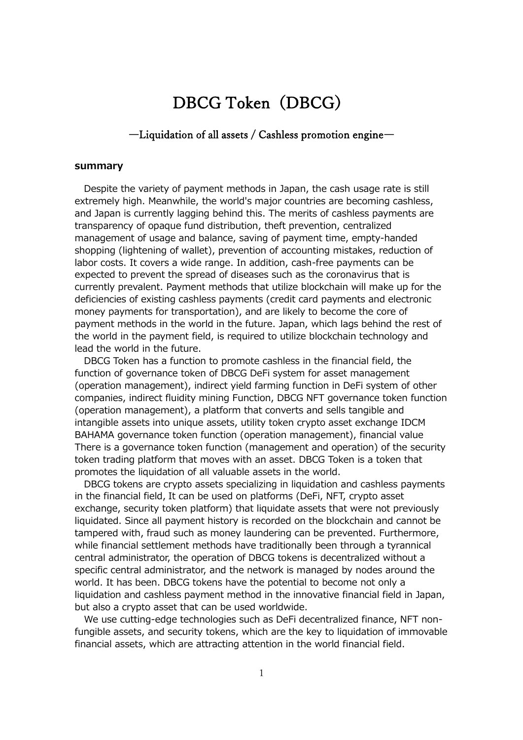# DBCG Token (DBCG)

# ―Liquidation of all assets / Cashless promotion engine―

#### **summary**

Despite the variety of payment methods in Japan, the cash usage rate is still extremely high. Meanwhile, the world's major countries are becoming cashless, and Japan is currently lagging behind this. The merits of cashless payments are transparency of opaque fund distribution, theft prevention, centralized management of usage and balance, saving of payment time, empty-handed shopping (lightening of wallet), prevention of accounting mistakes, reduction of labor costs. It covers a wide range. In addition, cash-free payments can be expected to prevent the spread of diseases such as the coronavirus that is currently prevalent. Payment methods that utilize blockchain will make up for the deficiencies of existing cashless payments (credit card payments and electronic money payments for transportation), and are likely to become the core of payment methods in the world in the future. Japan, which lags behind the rest of the world in the payment field, is required to utilize blockchain technology and lead the world in the future.

DBCG Token has a function to promote cashless in the financial field, the function of governance token of DBCG DeFi system for asset management (operation management), indirect yield farming function in DeFi system of other companies, indirect fluidity mining Function, DBCG NFT governance token function (operation management), a platform that converts and sells tangible and intangible assets into unique assets, utility token crypto asset exchange IDCM BAHAMA governance token function (operation management), financial value There is a governance token function (management and operation) of the security token trading platform that moves with an asset. DBCG Token is a token that promotes the liquidation of all valuable assets in the world.

DBCG tokens are crypto assets specializing in liquidation and cashless payments in the financial field, It can be used on platforms (DeFi, NFT, crypto asset exchange, security token platform) that liquidate assets that were not previously liquidated. Since all payment history is recorded on the blockchain and cannot be tampered with, fraud such as money laundering can be prevented. Furthermore, while financial settlement methods have traditionally been through a tyrannical central administrator, the operation of DBCG tokens is decentralized without a specific central administrator, and the network is managed by nodes around the world. It has been. DBCG tokens have the potential to become not only a liquidation and cashless payment method in the innovative financial field in Japan, but also a crypto asset that can be used worldwide.

We use cutting-edge technologies such as DeFi decentralized finance, NFT nonfungible assets, and security tokens, which are the key to liquidation of immovable financial assets, which are attracting attention in the world financial field.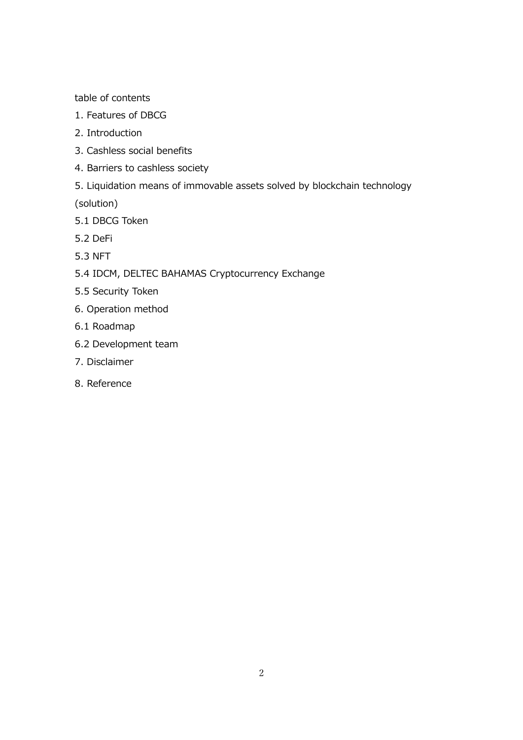table of contents

- 1. Features of DBCG
- 2. Introduction
- 3. Cashless social benefits
- 4. Barriers to cashless society
- 5. Liquidation means of immovable assets solved by blockchain technology

(solution)

- 5.1 DBCG Token
- 5.2 DeFi
- 5.3 NFT
- 5.4 IDCM, DELTEC BAHAMAS Cryptocurrency Exchange
- 5.5 Security Token
- 6. Operation method
- 6.1 Roadmap
- 6.2 Development team
- 7. Disclaimer
- 8. Reference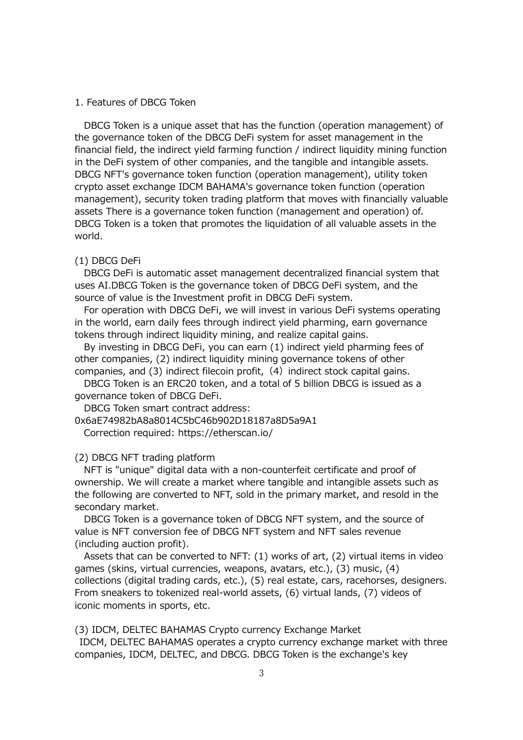#### 1. Features of DBCG Token

DBCG Token is a unique asset that has the function (operation management) of the governance token of the DBCG DeFi system for asset management in the financial field, the indirect yield farming function / indirect liquidity mining function in the DeFi system of other companies, and the tangible and intangible assets. DBCG NFT's governance token function (operation management), utility token crypto asset exchange IDCM BAHAMA's governance token function (operation management), security token trading platform that moves with financially valuable assets There is a governance token function (management and operation) of. DBCG Token is a token that promotes the liquidation of all valuable assets in the world.

#### (1) DBCG DeFi

DBCG DeFi is automatic asset management decentralized financial system that uses AI.DBCG Token is the governance token of DBCG DeFi system, and the source of value is the Investment profit in DBCG DeFi system.

For operation with DBCG DeFi, we will invest in various DeFi systems operating in the world, earn daily fees through indirect yield pharming, earn governance tokens through indirect liquidity mining, and realize capital gains.

By investing in DBCG DeFi, you can earn (1) indirect yield pharming fees of other companies, (2) indirect liquidity mining governance tokens of other companies, and  $(3)$  indirect filecoin profit,  $(4)$  indirect stock capital gains.

DBCG Token is an ERC20 token, and a total of 5 billion DBCG is issued as a governance token of DBCG DeFi.

DBCG Token smart contract address:

0x6aE74982bA8a8014C5bC46b902D18187a8D5a9A1

Correction required: https://etherscan.io/

# (2) DBCG NFT trading platform

NFT is "unique" digital data with a non-counterfeit certificate and proof of ownership. We will create a market where tangible and intangible assets such as the following are converted to NFT, sold in the primary market, and resold in the secondary market.

DBCG Token is a governance token of DBCG NFT system, and the source of value is NFT conversion fee of DBCG NFT system and NFT sales revenue (including auction profit).

Assets that can be converted to NFT: (1) works of art, (2) virtual items in video games (skins, virtual currencies, weapons, avatars, etc.), (3) music, (4) collections (digital trading cards, etc.), (5) real estate, cars, racehorses, designers. From sneakers to tokenized real-world assets, (6) virtual lands, (7) videos of iconic moments in sports, etc.

(3) IDCM, DELTEC BAHAMAS Crypto currency Exchange Market

IDCM, DELTEC BAHAMAS operates a crypto currency exchange market with three companies, IDCM, DELTEC, and DBCG. DBCG Token is the exchange's key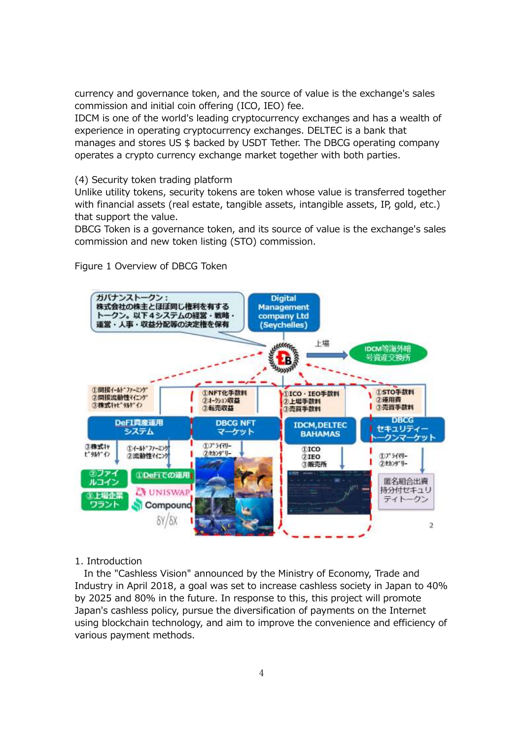currency and governance token, and the source of value is the exchange's sales commission and initial coin offering (ICO, IEO) fee.

IDCM is one of the world's leading cryptocurrency exchanges and has a wealth of experience in operating cryptocurrency exchanges. DELTEC is a bank that manages and stores US \$ backed by USDT Tether. The DBCG operating company operates a crypto currency exchange market together with both parties.

# (4) Security token trading platform

Unlike utility tokens, security tokens are token whose value is transferred together with financial assets (real estate, tangible assets, intangible assets, IP, gold, etc.) that support the value.

DBCG Token is a governance token, and its source of value is the exchange's sales commission and new token listing (STO) commission.

# Figure 1 Overview of DBCG Token



# 1. Introduction

In the "Cashless Vision" announced by the Ministry of Economy, Trade and Industry in April 2018, a goal was set to increase cashless society in Japan to 40% by 2025 and 80% in the future. In response to this, this project will promote Japan's cashless policy, pursue the diversification of payments on the Internet using blockchain technology, and aim to improve the convenience and efficiency of various payment methods.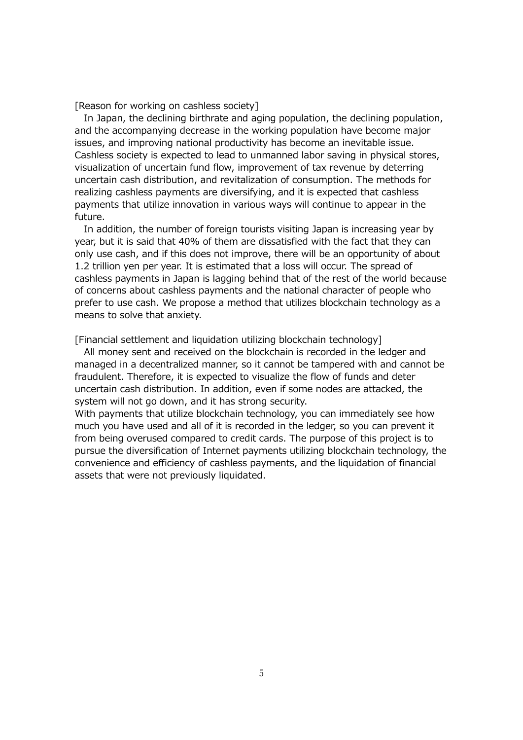[Reason for working on cashless society]

In Japan, the declining birthrate and aging population, the declining population, and the accompanying decrease in the working population have become major issues, and improving national productivity has become an inevitable issue. Cashless society is expected to lead to unmanned labor saving in physical stores, visualization of uncertain fund flow, improvement of tax revenue by deterring uncertain cash distribution, and revitalization of consumption. The methods for realizing cashless payments are diversifying, and it is expected that cashless payments that utilize innovation in various ways will continue to appear in the future.

In addition, the number of foreign tourists visiting Japan is increasing year by year, but it is said that 40% of them are dissatisfied with the fact that they can only use cash, and if this does not improve, there will be an opportunity of about 1.2 trillion yen per year. It is estimated that a loss will occur. The spread of cashless payments in Japan is lagging behind that of the rest of the world because of concerns about cashless payments and the national character of people who prefer to use cash. We propose a method that utilizes blockchain technology as a means to solve that anxiety.

[Financial settlement and liquidation utilizing blockchain technology]

All money sent and received on the blockchain is recorded in the ledger and managed in a decentralized manner, so it cannot be tampered with and cannot be fraudulent. Therefore, it is expected to visualize the flow of funds and deter uncertain cash distribution. In addition, even if some nodes are attacked, the system will not go down, and it has strong security.

With payments that utilize blockchain technology, you can immediately see how much you have used and all of it is recorded in the ledger, so you can prevent it from being overused compared to credit cards. The purpose of this project is to pursue the diversification of Internet payments utilizing blockchain technology, the convenience and efficiency of cashless payments, and the liquidation of financial assets that were not previously liquidated.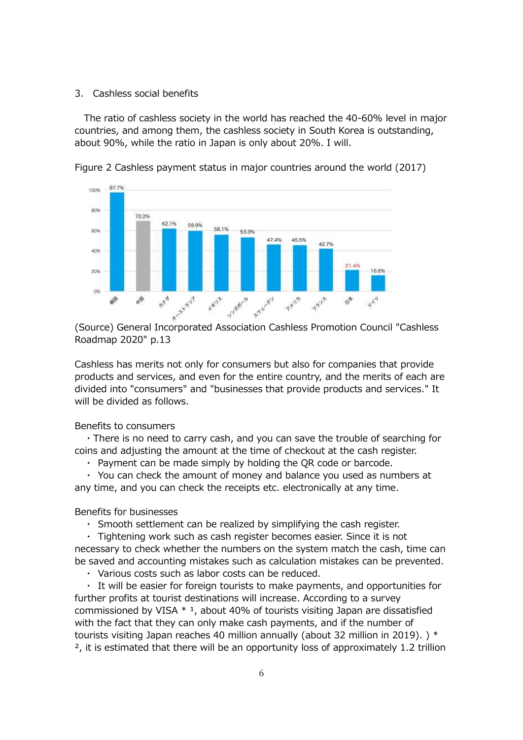#### 3. Cashless social benefits

The ratio of cashless society in the world has reached the 40-60% level in major countries, and among them, the cashless society in South Korea is outstanding, about 90%, while the ratio in Japan is only about 20%. I will.



Figure 2 Cashless payment status in major countries around the world (2017)

Roadmap 2020" p.13

Cashless has merits not only for consumers but also for companies that provide products and services, and even for the entire country, and the merits of each are divided into "consumers" and "businesses that provide products and services." It will be divided as follows.

Benefits to consumers

・There is no need to carry cash, and you can save the trouble of searching for coins and adjusting the amount at the time of checkout at the cash register.

・ Payment can be made simply by holding the QR code or barcode.

・ You can check the amount of money and balance you used as numbers at any time, and you can check the receipts etc. electronically at any time.

Benefits for businesses

・ Smooth settlement can be realized by simplifying the cash register.

・ Tightening work such as cash register becomes easier. Since it is not necessary to check whether the numbers on the system match the cash, time can be saved and accounting mistakes such as calculation mistakes can be prevented.

・ Various costs such as labor costs can be reduced.

・ It will be easier for foreign tourists to make payments, and opportunities for further profits at tourist destinations will increase. According to a survey commissioned by VISA  $*$  <sup>1</sup>, about 40% of tourists visiting Japan are dissatisfied with the fact that they can only make cash payments, and if the number of tourists visiting Japan reaches 40 million annually (about 32 million in 2019). ) \* ², it is estimated that there will be an opportunity loss of approximately 1.2 trillion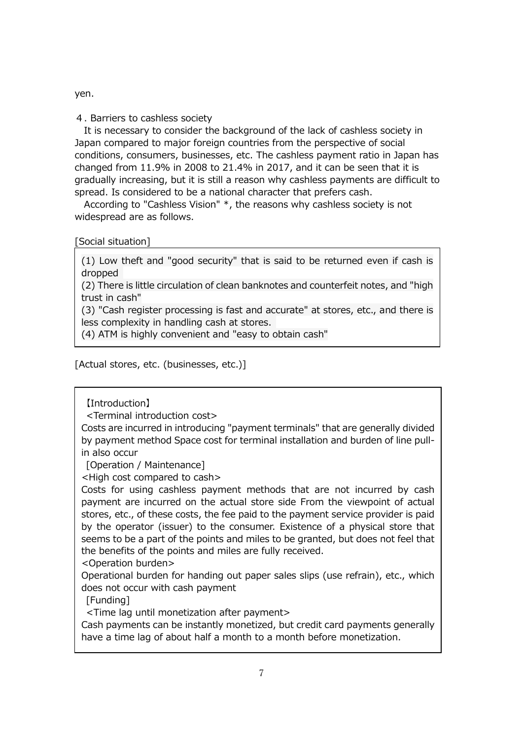yen.

4. Barriers to cashless society

It is necessary to consider the background of the lack of cashless society in Japan compared to major foreign countries from the perspective of social conditions, consumers, businesses, etc. The cashless payment ratio in Japan has changed from 11.9% in 2008 to 21.4% in 2017, and it can be seen that it is gradually increasing, but it is still a reason why cashless payments are difficult to spread. Is considered to be a national character that prefers cash.

According to "Cashless Vision" \*, the reasons why cashless society is not widespread are as follows.

[Social situation]

(1) Low theft and "good security" that is said to be returned even if cash is dropped

(2) There is little circulation of clean banknotes and counterfeit notes, and "high trust in cash"

(3) "Cash register processing is fast and accurate" at stores, etc., and there is less complexity in handling cash at stores.

(4) ATM is highly convenient and "easy to obtain cash"

[Actual stores, etc. (businesses, etc.)]

【Introduction】

<Terminal introduction cost>

Costs are incurred in introducing "payment terminals" that are generally divided by payment method Space cost for terminal installation and burden of line pullin also occur

[Operation / Maintenance]

<High cost compared to cash>

Costs for using cashless payment methods that are not incurred by cash payment are incurred on the actual store side From the viewpoint of actual stores, etc., of these costs, the fee paid to the payment service provider is paid by the operator (issuer) to the consumer. Existence of a physical store that seems to be a part of the points and miles to be granted, but does not feel that the benefits of the points and miles are fully received.

<Operation burden>

Operational burden for handing out paper sales slips (use refrain), etc., which does not occur with cash payment

[Funding]

<Time lag until monetization after payment>

Cash payments can be instantly monetized, but credit card payments generally have a time lag of about half a month to a month before monetization.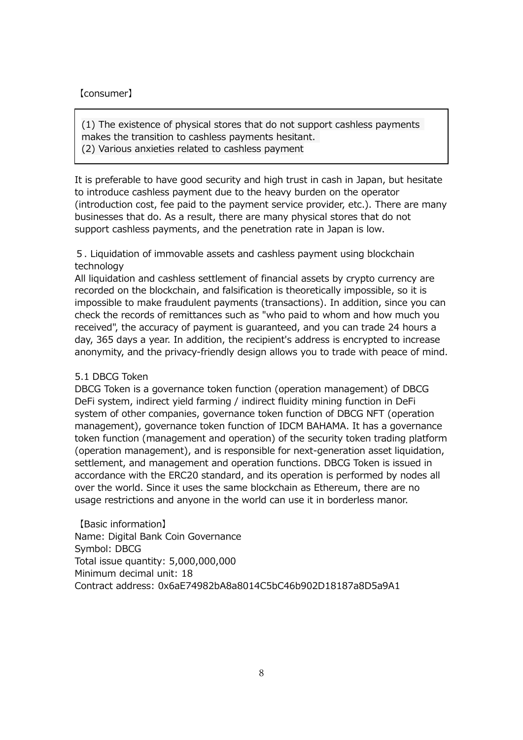# 【consumer】

(1) The existence of physical stores that do not support cashless payments makes the transition to cashless payments hesitant. (2) Various anxieties related to cashless payment

It is preferable to have good security and high trust in cash in Japan, but hesitate to introduce cashless payment due to the heavy burden on the operator (introduction cost, fee paid to the payment service provider, etc.). There are many businesses that do. As a result, there are many physical stores that do not support cashless payments, and the penetration rate in Japan is low.

5. Liquidation of immovable assets and cashless payment using blockchain technology

All liquidation and cashless settlement of financial assets by crypto currency are recorded on the blockchain, and falsification is theoretically impossible, so it is impossible to make fraudulent payments (transactions). In addition, since you can check the records of remittances such as "who paid to whom and how much you received", the accuracy of payment is guaranteed, and you can trade 24 hours a day, 365 days a year. In addition, the recipient's address is encrypted to increase anonymity, and the privacy-friendly design allows you to trade with peace of mind.

# 5.1 DBCG Token

DBCG Token is a governance token function (operation management) of DBCG DeFi system, indirect yield farming / indirect fluidity mining function in DeFi system of other companies, governance token function of DBCG NFT (operation management), governance token function of IDCM BAHAMA. It has a governance token function (management and operation) of the security token trading platform (operation management), and is responsible for next-generation asset liquidation, settlement, and management and operation functions. DBCG Token is issued in accordance with the ERC20 standard, and its operation is performed by nodes all over the world. Since it uses the same blockchain as Ethereum, there are no usage restrictions and anyone in the world can use it in borderless manor.

【Basic information】 Name: Digital Bank Coin Governance Symbol: DBCG Total issue quantity: 5,000,000,000 Minimum decimal unit: 18 Contract address: 0x6aE74982bA8a8014C5bC46b902D18187a8D5a9A1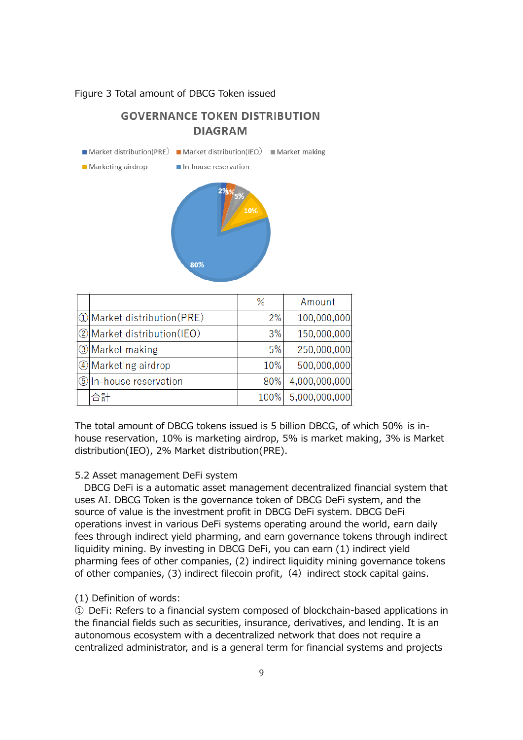#### Figure 3 Total amount of DBCG Token issued

# **GOVERNANCE TOKEN DISTRIBUTION DIAGRAM**

| $\blacksquare$ Market distribution(PRE) $\blacksquare$ Market distribution(IEO) $\blacksquare$ Market making |               |     |       |
|--------------------------------------------------------------------------------------------------------------|---------------|-----|-------|
| ■ Marketing airdrop ■ In-house reservation                                                                   |               |     |       |
|                                                                                                              | $2%$ %<br>80% | 10% |       |
|                                                                                                              |               | %   | Amoun |
|                                                                                                              |               |     |       |

|                               | %    | Amount        |
|-------------------------------|------|---------------|
| 10 Market distribution (PRE)  | 2%   | 100,000,000   |
| 2 Market distribution (IEO)   | 3%   | 150,000,000   |
| <b>3</b> Market making        | 5%   | 250,000,000   |
| 4 Marketing airdrop           | 10%  | 500,000,000   |
| <b>5</b> In-house reservation | 80%  | 4,000,000,000 |
| 合計                            | 100% | 5,000,000,000 |

The total amount of DBCG tokens issued is 5 billion DBCG, of which 50% is inhouse reservation, 10% is marketing airdrop, 5% is market making, 3% is Market distribution(IEO), 2% Market distribution(PRE).

# 5.2 Asset management DeFi system

DBCG DeFi is a automatic asset management decentralized financial system that uses AI. DBCG Token is the governance token of DBCG DeFi system, and the source of value is the investment profit in DBCG DeFi system. DBCG DeFi operations invest in various DeFi systems operating around the world, earn daily fees through indirect yield pharming, and earn governance tokens through indirect liquidity mining. By investing in DBCG DeFi, you can earn (1) indirect yield pharming fees of other companies, (2) indirect liquidity mining governance tokens of other companies, (3) indirect filecoin profit, (4) indirect stock capital gains.

# (1) Definition of words:

① DeFi: Refers to a financial system composed of blockchain-based applications in the financial fields such as securities, insurance, derivatives, and lending. It is an autonomous ecosystem with a decentralized network that does not require a centralized administrator, and is a general term for financial systems and projects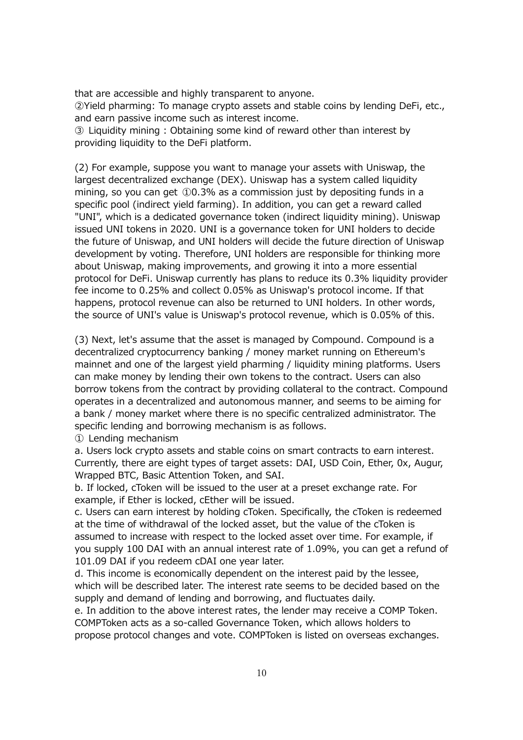that are accessible and highly transparent to anyone. ②Yield pharming: To manage crypto assets and stable coins by lending DeFi, etc., and earn passive income such as interest income.

③ Liquidity mining : Obtaining some kind of reward other than interest by providing liquidity to the DeFi platform.

(2) For example, suppose you want to manage your assets with Uniswap, the largest decentralized exchange (DEX). Uniswap has a system called liquidity mining, so you can get ①0.3% as a commission just by depositing funds in a specific pool (indirect yield farming). In addition, you can get a reward called "UNI", which is a dedicated governance token (indirect liquidity mining). Uniswap issued UNI tokens in 2020. UNI is a governance token for UNI holders to decide the future of Uniswap, and UNI holders will decide the future direction of Uniswap development by voting. Therefore, UNI holders are responsible for thinking more about Uniswap, making improvements, and growing it into a more essential protocol for DeFi. Uniswap currently has plans to reduce its 0.3% liquidity provider fee income to 0.25% and collect 0.05% as Uniswap's protocol income. If that happens, protocol revenue can also be returned to UNI holders. In other words, the source of UNI's value is Uniswap's protocol revenue, which is 0.05% of this.

(3) Next, let's assume that the asset is managed by Compound. Compound is a decentralized cryptocurrency banking / money market running on Ethereum's mainnet and one of the largest yield pharming / liquidity mining platforms. Users can make money by lending their own tokens to the contract. Users can also borrow tokens from the contract by providing collateral to the contract. Compound operates in a decentralized and autonomous manner, and seems to be aiming for a bank / money market where there is no specific centralized administrator. The specific lending and borrowing mechanism is as follows.

① Lending mechanism

a. Users lock crypto assets and stable coins on smart contracts to earn interest. Currently, there are eight types of target assets: DAI, USD Coin, Ether, 0x, Augur, Wrapped BTC, Basic Attention Token, and SAI.

b. If locked, cToken will be issued to the user at a preset exchange rate. For example, if Ether is locked, cEther will be issued.

c. Users can earn interest by holding cToken. Specifically, the cToken is redeemed at the time of withdrawal of the locked asset, but the value of the cToken is assumed to increase with respect to the locked asset over time. For example, if you supply 100 DAI with an annual interest rate of 1.09%, you can get a refund of 101.09 DAI if you redeem cDAI one year later.

d. This income is economically dependent on the interest paid by the lessee, which will be described later. The interest rate seems to be decided based on the supply and demand of lending and borrowing, and fluctuates daily.

e. In addition to the above interest rates, the lender may receive a COMP Token. COMPToken acts as a so-called Governance Token, which allows holders to propose protocol changes and vote. COMPToken is listed on overseas exchanges.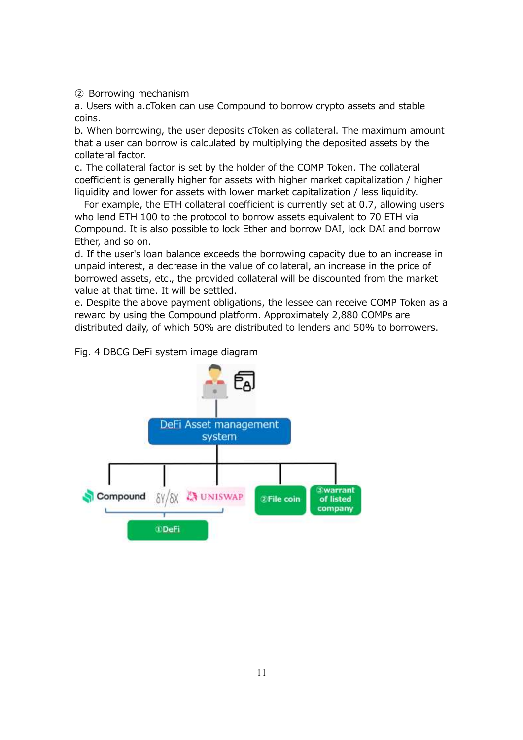② Borrowing mechanism

a. Users with a.cToken can use Compound to borrow crypto assets and stable coins.

b. When borrowing, the user deposits cToken as collateral. The maximum amount that a user can borrow is calculated by multiplying the deposited assets by the collateral factor.

c. The collateral factor is set by the holder of the COMP Token. The collateral coefficient is generally higher for assets with higher market capitalization / higher liquidity and lower for assets with lower market capitalization / less liquidity.

 For example, the ETH collateral coefficient is currently set at 0.7, allowing users who lend ETH 100 to the protocol to borrow assets equivalent to 70 ETH via Compound. It is also possible to lock Ether and borrow DAI, lock DAI and borrow Ether, and so on.

d. If the user's loan balance exceeds the borrowing capacity due to an increase in unpaid interest, a decrease in the value of collateral, an increase in the price of borrowed assets, etc., the provided collateral will be discounted from the market value at that time. It will be settled.

e. Despite the above payment obligations, the lessee can receive COMP Token as a reward by using the Compound platform. Approximately 2,880 COMPs are distributed daily, of which 50% are distributed to lenders and 50% to borrowers.

Fig. 4 DBCG DeFi system image diagram

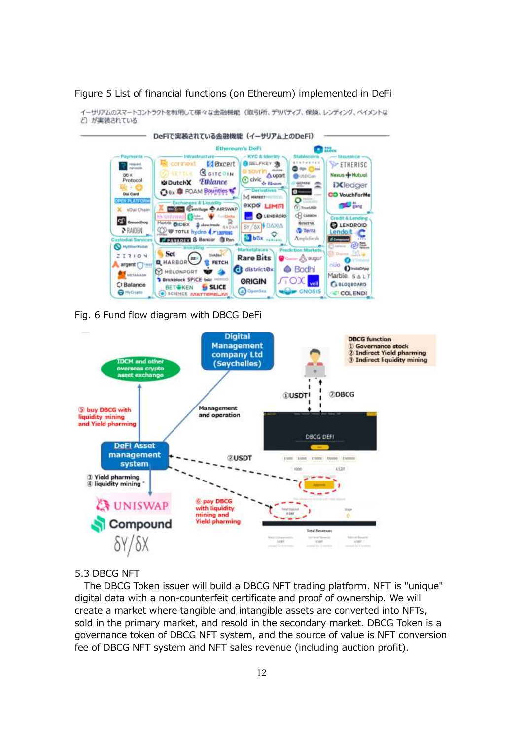

Figure 5 List of financial functions (on Ethereum) implemented in DeFi

Fig. 6 Fund flow diagram with DBCG DeFi



# 5.3 DBCG NFT

The DBCG Token issuer will build a DBCG NFT trading platform. NFT is "unique" digital data with a non-counterfeit certificate and proof of ownership. We will create a market where tangible and intangible assets are converted into NFTs, sold in the primary market, and resold in the secondary market. DBCG Token is a governance token of DBCG NFT system, and the source of value is NFT conversion fee of DBCG NFT system and NFT sales revenue (including auction profit).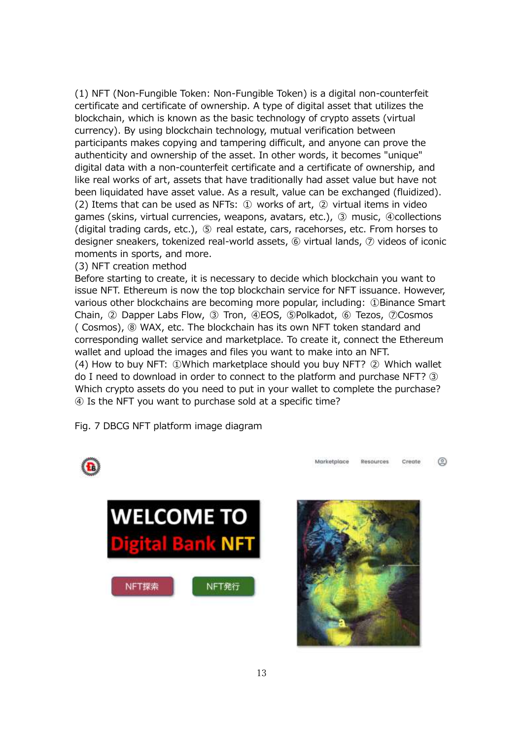(1) NFT (Non-Fungible Token: Non-Fungible Token) is a digital non-counterfeit certificate and certificate of ownership. A type of digital asset that utilizes the blockchain, which is known as the basic technology of crypto assets (virtual currency). By using blockchain technology, mutual verification between participants makes copying and tampering difficult, and anyone can prove the authenticity and ownership of the asset. In other words, it becomes "unique" digital data with a non-counterfeit certificate and a certificate of ownership, and like real works of art, assets that have traditionally had asset value but have not been liquidated have asset value. As a result, value can be exchanged (fluidized). (2) Items that can be used as NFTs: ① works of art, ② virtual items in video games (skins, virtual currencies, weapons, avatars, etc.), ③ music, ④collections (digital trading cards, etc.), ⑤ real estate, cars, racehorses, etc. From horses to designer sneakers, tokenized real-world assets, ⑥ virtual lands, ⑦ videos of iconic moments in sports, and more.

# (3) NFT creation method

Before starting to create, it is necessary to decide which blockchain you want to issue NFT. Ethereum is now the top blockchain service for NFT issuance. However, various other blockchains are becoming more popular, including: ①Binance Smart Chain, ② Dapper Labs Flow, ③ Tron, ④EOS, ⑤Polkadot, ⑥ Tezos, ⑦Cosmos ( Cosmos), ⑧ WAX, etc. The blockchain has its own NFT token standard and corresponding wallet service and marketplace. To create it, connect the Ethereum wallet and upload the images and files you want to make into an NFT. (4) How to buy NFT: ①Which marketplace should you buy NFT? ② Which wallet do I need to download in order to connect to the platform and purchase NFT? ③ Which crypto assets do you need to put in your wallet to complete the purchase? ④ Is the NFT you want to purchase sold at a specific time?

Fig. 7 DBCG NFT platform image diagram





Marketplace

◎

Create

Resources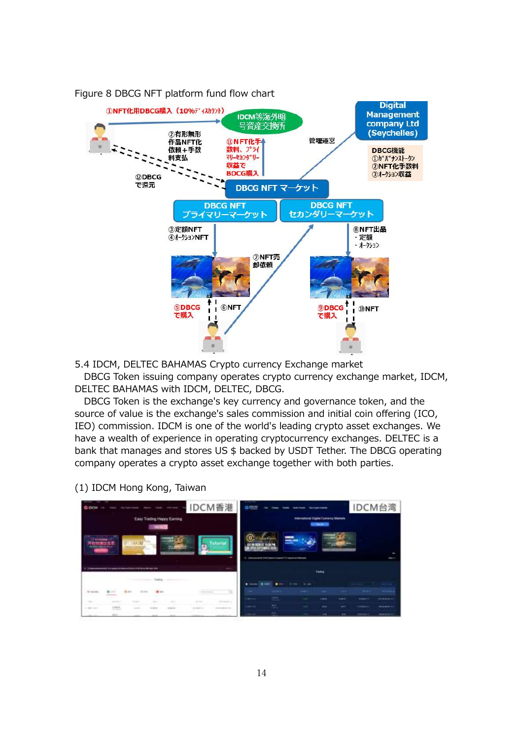

Figure 8 DBCG NFT platform fund flow chart

5.4 IDCM, DELTEC BAHAMAS Crypto currency Exchange market

DBCG Token issuing company operates crypto currency exchange market, IDCM, DELTEC BAHAMAS with IDCM, DELTEC, DBCG.

DBCG Token is the exchange's key currency and governance token, and the source of value is the exchange's sales commission and initial coin offering (ICO, IEO) commission. IDCM is one of the world's leading crypto asset exchanges. We have a wealth of experience in operating cryptocurrency exchanges. DELTEC is a bank that manages and stores US \$ backed by USDT Tether. The DBCG operating company operates a crypto asset exchange together with both parties.

(1) IDCM Hong Kong, Taiwan

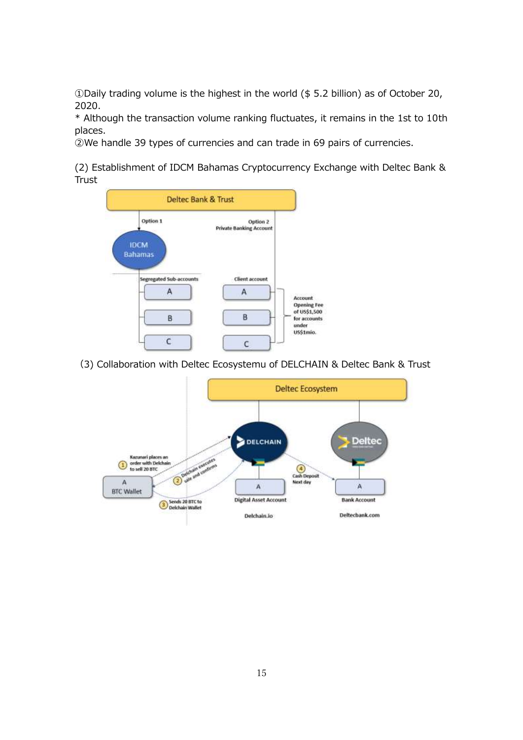①Daily trading volume is the highest in the world (\$ 5.2 billion) as of October 20, 2020.

\* Although the transaction volume ranking fluctuates, it remains in the 1st to 10th places.

②We handle 39 types of currencies and can trade in 69 pairs of currencies.

(2) Establishment of IDCM Bahamas Cryptocurrency Exchange with Deltec Bank & **Trust** 



(3) Collaboration with Deltec Ecosystemu of DELCHAIN & Deltec Bank & Trust

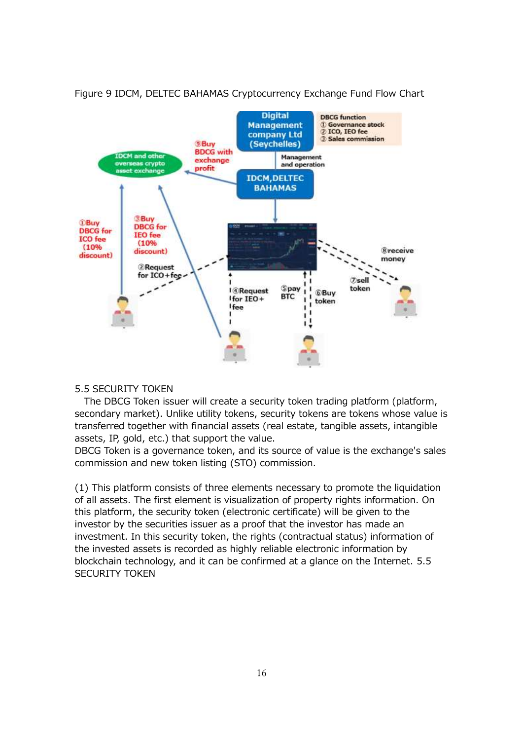

# Figure 9 IDCM, DELTEC BAHAMAS Cryptocurrency Exchange Fund Flow Chart

#### 5.5 SECURITY TOKEN

The DBCG Token issuer will create a security token trading platform (platform, secondary market). Unlike utility tokens, security tokens are tokens whose value is transferred together with financial assets (real estate, tangible assets, intangible assets, IP, gold, etc.) that support the value.

DBCG Token is a governance token, and its source of value is the exchange's sales commission and new token listing (STO) commission.

(1) This platform consists of three elements necessary to promote the liquidation of all assets. The first element is visualization of property rights information. On this platform, the security token (electronic certificate) will be given to the investor by the securities issuer as a proof that the investor has made an investment. In this security token, the rights (contractual status) information of the invested assets is recorded as highly reliable electronic information by blockchain technology, and it can be confirmed at a glance on the Internet. 5.5 SECURITY TOKEN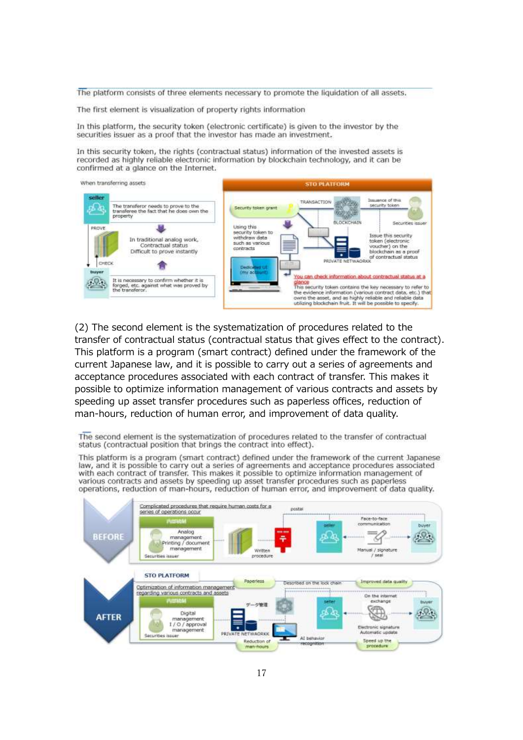The platform consists of three elements necessary to promote the liquidation of all assets.

The first element is visualization of property rights information

In this platform, the security token (electronic certificate) is given to the investor by the securities issuer as a proof that the investor has made an investment.

In this security token, the rights (contractual status) information of the invested assets is recorded as highly reliable electronic information by blockchain technology, and it can be confirmed at a glance on the Internet.



(2) The second element is the systematization of procedures related to the transfer of contractual status (contractual status that gives effect to the contract). This platform is a program (smart contract) defined under the framework of the current Japanese law, and it is possible to carry out a series of agreements and acceptance procedures associated with each contract of transfer. This makes it possible to optimize information management of various contracts and assets by speeding up asset transfer procedures such as paperless offices, reduction of man-hours, reduction of human error, and improvement of data quality.

The second element is the systematization of procedures related to the transfer of contractual status (contractual position that brings the contract into effect).

This platform is a program (smart contract) defined under the framework of the current Japanese law, and it is possible to carry out a series of agreements and acceptance procedures associated with each contract of transfer. This makes it possible to optimize information management of various contracts and assets by speeding up asset transfer procedures such as paperless operations, reduction of man-hours, reduction of human error, and improvement of data quality.

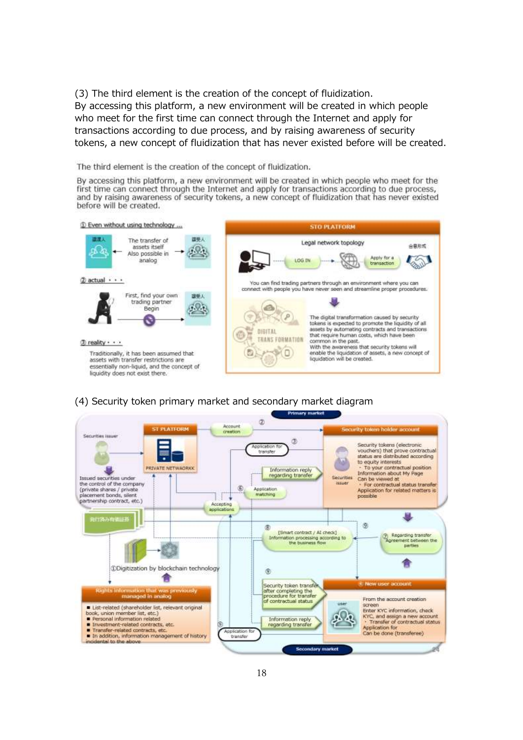(3) The third element is the creation of the concept of fluidization. By accessing this platform, a new environment will be created in which people who meet for the first time can connect through the Internet and apply for transactions according to due process, and by raising awareness of security tokens, a new concept of fluidization that has never existed before will be created.

The third element is the creation of the concept of fluidization.

By accessing this platform, a new environment will be created in which people who meet for the first time can connect through the Internet and apply for transactions according to due process, and by raising awareness of security tokens, a new concept of fluidization that has never existed before will be created.



# (4) Security token primary market and secondary market diagram

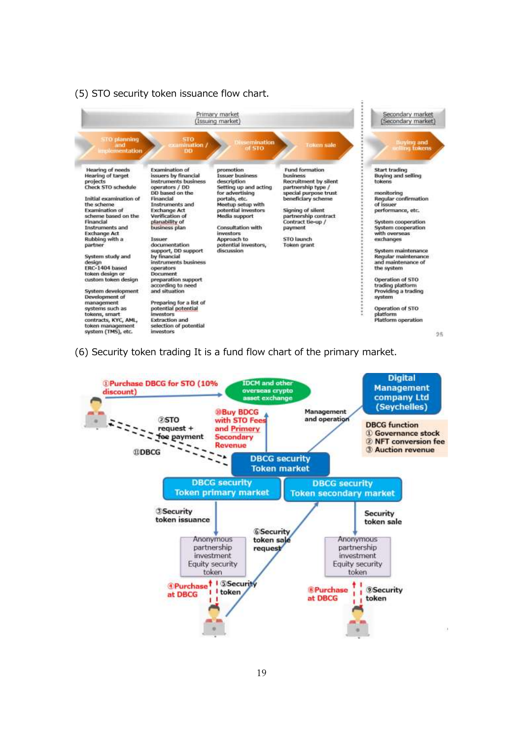#### (5) STO security token issuance flow chart.



(6) Security token trading It is a fund flow chart of the primary market.

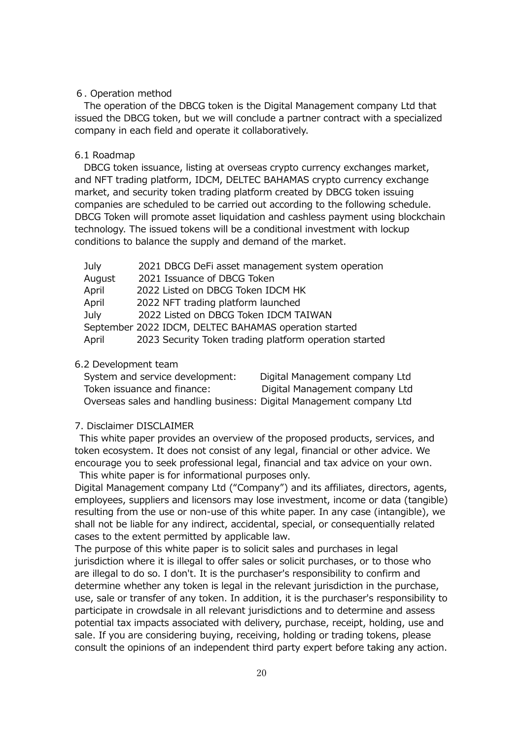#### 6. Operation method

The operation of the DBCG token is the Digital Management company Ltd that issued the DBCG token, but we will conclude a partner contract with a specialized company in each field and operate it collaboratively.

#### 6.1 Roadmap

DBCG token issuance, listing at overseas crypto currency exchanges market, and NFT trading platform, IDCM, DELTEC BAHAMAS crypto currency exchange market, and security token trading platform created by DBCG token issuing companies are scheduled to be carried out according to the following schedule. DBCG Token will promote asset liquidation and cashless payment using blockchain technology. The issued tokens will be a conditional investment with lockup conditions to balance the supply and demand of the market.

| July   | 2021 DBCG DeFi asset management system operation       |
|--------|--------------------------------------------------------|
| August | 2021 Issuance of DBCG Token                            |
| April  | 2022 Listed on DBCG Token IDCM HK                      |
| April  | 2022 NFT trading platform launched                     |
| July   | 2022 Listed on DBCG Token IDCM TAIWAN                  |
|        | September 2022 IDCM, DELTEC BAHAMAS operation started  |
| April  | 2023 Security Token trading platform operation started |

#### 6.2 Development team

| System and service development:                                      | Digital Management company Ltd |
|----------------------------------------------------------------------|--------------------------------|
| Token issuance and finance:                                          | Digital Management company Ltd |
| Overseas sales and handling business: Digital Management company Ltd |                                |

#### 7. Disclaimer DISCLAIMER

This white paper provides an overview of the proposed products, services, and token ecosystem. It does not consist of any legal, financial or other advice. We encourage you to seek professional legal, financial and tax advice on your own. This white paper is for informational purposes only.

Digital Management company Ltd ("Company") and its affiliates, directors, agents, employees, suppliers and licensors may lose investment, income or data (tangible) resulting from the use or non-use of this white paper. In any case (intangible), we shall not be liable for any indirect, accidental, special, or consequentially related cases to the extent permitted by applicable law.

The purpose of this white paper is to solicit sales and purchases in legal jurisdiction where it is illegal to offer sales or solicit purchases, or to those who are illegal to do so. I don't. It is the purchaser's responsibility to confirm and determine whether any token is legal in the relevant jurisdiction in the purchase, use, sale or transfer of any token. In addition, it is the purchaser's responsibility to participate in crowdsale in all relevant jurisdictions and to determine and assess potential tax impacts associated with delivery, purchase, receipt, holding, use and sale. If you are considering buying, receiving, holding or trading tokens, please consult the opinions of an independent third party expert before taking any action.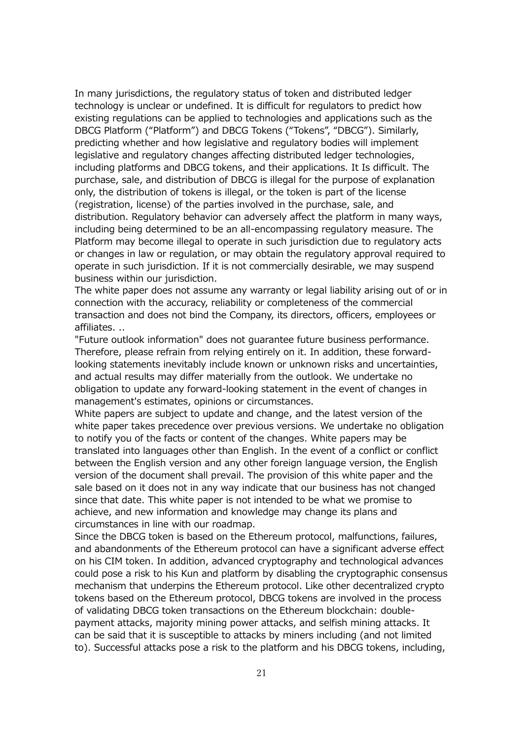In many jurisdictions, the regulatory status of token and distributed ledger technology is unclear or undefined. It is difficult for regulators to predict how existing regulations can be applied to technologies and applications such as the DBCG Platform ("Platform") and DBCG Tokens ("Tokens", "DBCG"). Similarly, predicting whether and how legislative and regulatory bodies will implement legislative and regulatory changes affecting distributed ledger technologies, including platforms and DBCG tokens, and their applications. It Is difficult. The purchase, sale, and distribution of DBCG is illegal for the purpose of explanation only, the distribution of tokens is illegal, or the token is part of the license (registration, license) of the parties involved in the purchase, sale, and distribution. Regulatory behavior can adversely affect the platform in many ways, including being determined to be an all-encompassing regulatory measure. The Platform may become illegal to operate in such jurisdiction due to regulatory acts or changes in law or regulation, or may obtain the regulatory approval required to operate in such jurisdiction. If it is not commercially desirable, we may suspend business within our jurisdiction.

The white paper does not assume any warranty or legal liability arising out of or in connection with the accuracy, reliability or completeness of the commercial transaction and does not bind the Company, its directors, officers, employees or affiliates. ..

"Future outlook information" does not guarantee future business performance. Therefore, please refrain from relying entirely on it. In addition, these forwardlooking statements inevitably include known or unknown risks and uncertainties, and actual results may differ materially from the outlook. We undertake no obligation to update any forward-looking statement in the event of changes in management's estimates, opinions or circumstances.

White papers are subject to update and change, and the latest version of the white paper takes precedence over previous versions. We undertake no obligation to notify you of the facts or content of the changes. White papers may be translated into languages other than English. In the event of a conflict or conflict between the English version and any other foreign language version, the English version of the document shall prevail. The provision of this white paper and the sale based on it does not in any way indicate that our business has not changed since that date. This white paper is not intended to be what we promise to achieve, and new information and knowledge may change its plans and circumstances in line with our roadmap.

Since the DBCG token is based on the Ethereum protocol, malfunctions, failures, and abandonments of the Ethereum protocol can have a significant adverse effect on his CIM token. In addition, advanced cryptography and technological advances could pose a risk to his Kun and platform by disabling the cryptographic consensus mechanism that underpins the Ethereum protocol. Like other decentralized crypto tokens based on the Ethereum protocol, DBCG tokens are involved in the process of validating DBCG token transactions on the Ethereum blockchain: doublepayment attacks, majority mining power attacks, and selfish mining attacks. It can be said that it is susceptible to attacks by miners including (and not limited to). Successful attacks pose a risk to the platform and his DBCG tokens, including,